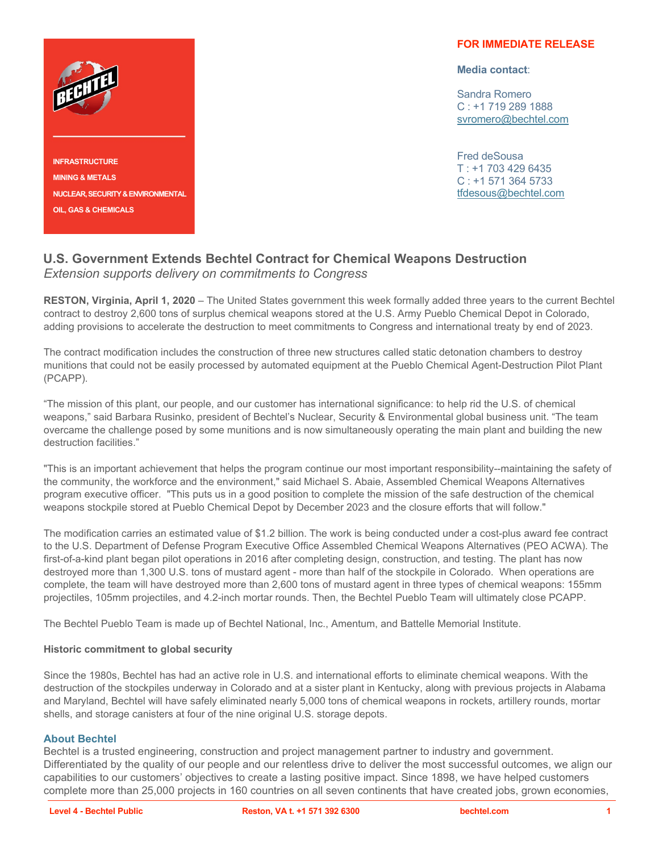

**INFRASTRUCTURE MINING & METALS NUCLEAR, SECURITY & ENVIRONMENTAL OIL, GAS & CHEMICALS**

## **FOR IMMEDIATE RELEASE**

**Media contact**:

Sandra Romero C : +1 719 289 1888 [svromero@bechtel.com](mailto:svromero@bechtel.com)

Fred deSousa  $T : +17034296435$ C : +1 571 364 5733 [tfdesous@bechtel.com](mailto:tfdesous@bechtel.com)

## **U.S. Government Extends Bechtel Contract for Chemical Weapons Destruction** *Extension supports delivery on commitments to Congress*

**RESTON, Virginia, April 1, 2020** – The United States government this week formally added three years to the current Bechtel contract to destroy 2,600 tons of surplus chemical weapons stored at the U.S. Army Pueblo Chemical Depot in Colorado, adding provisions to accelerate the destruction to meet commitments to Congress and international treaty by end of 2023.

The contract modification includes the construction of three new structures called static detonation chambers to destroy munitions that could not be easily processed by automated equipment at the Pueblo Chemical Agent-Destruction Pilot Plant (PCAPP).

"The mission of this plant, our people, and our customer has international significance: to help rid the U.S. of chemical weapons," said Barbara Rusinko, president of Bechtel's Nuclear, Security & Environmental global business unit. "The team overcame the challenge posed by some munitions and is now simultaneously operating the main plant and building the new destruction facilities."

"This is an important achievement that helps the program continue our most important responsibility--maintaining the safety of the community, the workforce and the environment," said Michael S. Abaie, Assembled Chemical Weapons Alternatives program executive officer. "This puts us in a good position to complete the mission of the safe destruction of the chemical weapons stockpile stored at Pueblo Chemical Depot by December 2023 and the closure efforts that will follow."

The modification carries an estimated value of \$1.2 billion. The work is being conducted under a cost-plus award fee contract to the U.S. Department of Defense Program Executive Office Assembled Chemical Weapons Alternatives (PEO ACWA). The first-of-a-kind plant began pilot operations in 2016 after completing design, construction, and testing. The plant has now destroyed more than 1,300 U.S. tons of mustard agent - more than half of the stockpile in Colorado. When operations are complete, the team will have destroyed more than 2,600 tons of mustard agent in three types of chemical weapons: 155mm projectiles, 105mm projectiles, and 4.2-inch mortar rounds. Then, the Bechtel Pueblo Team will ultimately close PCAPP.

The Bechtel Pueblo Team is made up of Bechtel National, Inc., Amentum, and Battelle Memorial Institute.

## **Historic commitment to global security**

Since the 1980s, Bechtel has had an active role in U.S. and international efforts to eliminate chemical weapons. With the destruction of the stockpiles underway in Colorado and at a sister plant in Kentucky, along with previous projects in Alabama and Maryland, Bechtel will have safely eliminated nearly 5,000 tons of chemical weapons in rockets, artillery rounds, mortar shells, and storage canisters at four of the nine original U.S. storage depots.

## **About Bechtel**

Bechtel is a trusted engineering, construction and project management partner to industry and government. Differentiated by the quality of our people and our relentless drive to deliver the most successful outcomes, we align our capabilities to our customers' objectives to create a lasting positive impact. Since 1898, we have helped customers complete more than 25,000 projects in 160 countries on all seven continents that have created jobs, grown economies,